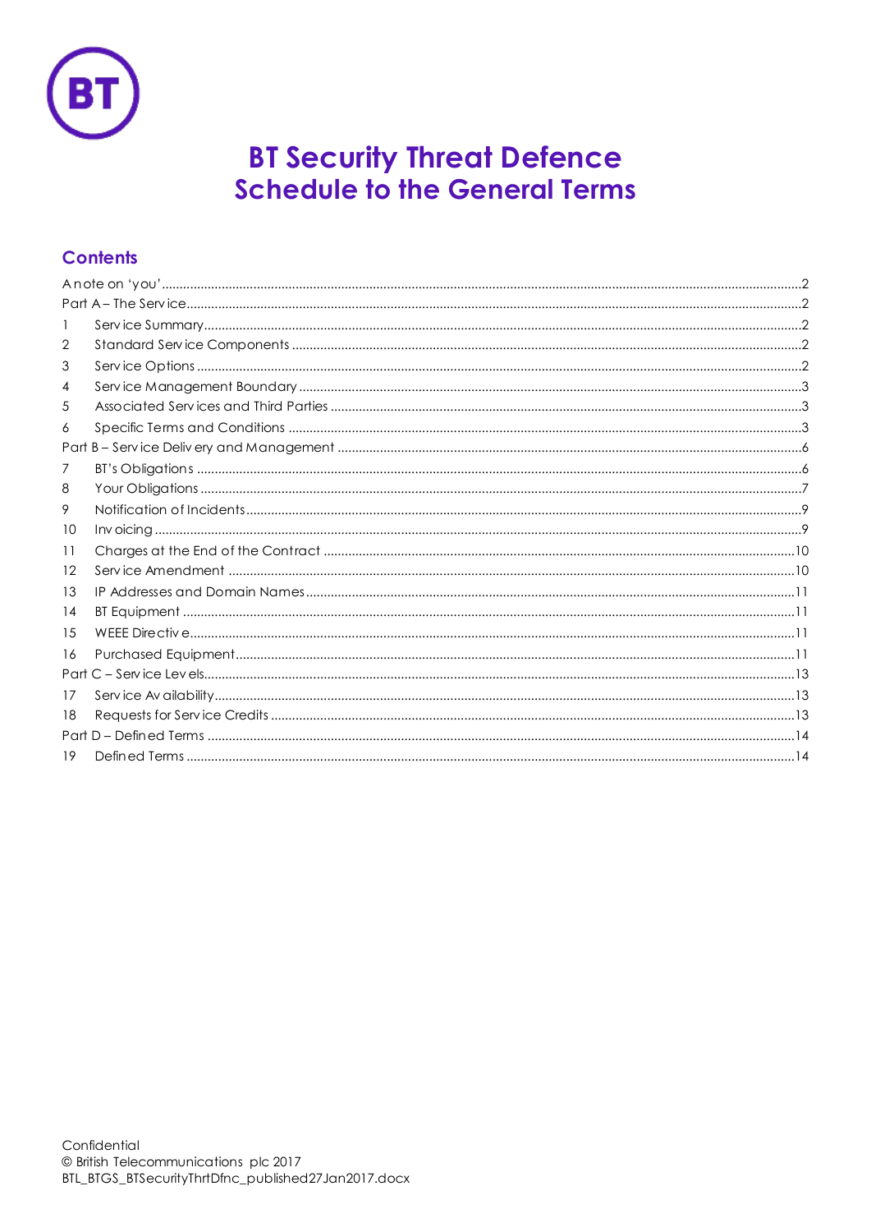

# **BT Security Threat Defence Schedule to the General Terms**

# **Contents**

| 2  |  |  |
|----|--|--|
| 3  |  |  |
| 4  |  |  |
| 5  |  |  |
| 6  |  |  |
|    |  |  |
| 7  |  |  |
| 8  |  |  |
| 9  |  |  |
| 10 |  |  |
| 11 |  |  |
| 12 |  |  |
| 13 |  |  |
| 14 |  |  |
| 15 |  |  |
| 16 |  |  |
|    |  |  |
| 17 |  |  |
| 18 |  |  |
|    |  |  |
| 19 |  |  |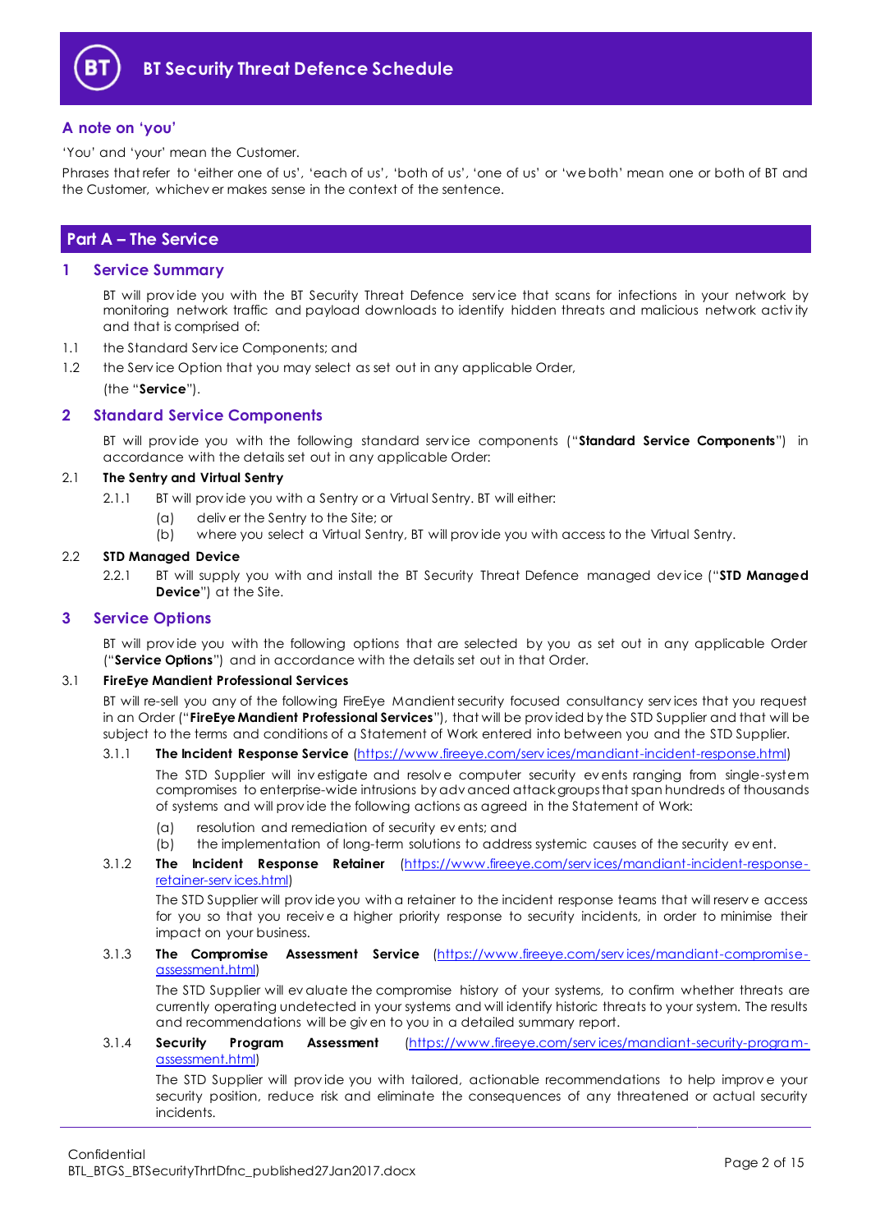

# <span id="page-1-0"></span>**A note on 'you'**

'You' and 'your' mean the Customer.

Phrases that refer to 'either one of us', 'each of us', 'both of us', 'one of us' or 'we both' mean one or both of BT and the Customer, whichev er makes sense in the context of the sentence.

# <span id="page-1-1"></span>**Part A – The Service**

#### <span id="page-1-2"></span>**1 Service Summary**

BT will prov ide you with the BT Security Threat Defence serv ice that scans for infections in your network by monitoring network traffic and payload downloads to identify hidden threats and malicious network activ ity and that is comprised of:

- 1.1 the Standard Serv ice Components; and
- 1.2 the Serv ice Option that you may select as set out in any applicable Order, (the "**Service**").

# <span id="page-1-3"></span>**2 Standard Service Components**

BT will prov ide you with the following standard serv ice components ("**Standard Service Components**") in accordance with the details set out in any applicable Order:

#### 2.1 **The Sentry and Virtual Sentry**

- 2.1.1 BT will prov ide you with a Sentry or a Virtual Sentry. BT will either:
	- (a) deliv er the Sentry to the Site; or
	- (b) where you select a Virtual Sentry, BT will prov ide you with access to the Virtual Sentry.

#### 2.2 **STD Managed Device**

2.2.1 BT will supply you with and install the BT Security Threat Defence managed dev ice ("**STD Managed Device**") at the Site.

### <span id="page-1-4"></span>**3 Service Options**

BT will prov ide you with the following options that are selected by you as set out in any applicable Order ("**Service Options**") and in accordance with the details set out in that Order.

#### <span id="page-1-5"></span>3.1 **FireEye Mandient Professional Services**

BT will re-sell you any of the following FireEye Mandient security focused consultancy serv ices that you request in an Order ("**FireEye Mandient Professional Services**"), that will be prov ided by the STD Supplier and that will be subject to the terms and conditions of a Statement of Work entered into between you and the STD Supplier.

# 3.1.1 **The Incident Response Service** [\(https://www.fireeye.com/serv ices/mandiant-incident-response.html\)](https://www.fireeye.com/services/mandiant-incident-response.html)

The STD Supplier will investigate and resolve computer security events ranging from single-system compromises to enterprise-wide intrusions by adv anced attack groups that span hundreds of thousands of systems and will prov ide the following actions as agreed in the Statement of Work:

- (a) resolution and remediation of security ev ents; and
- (b) the implementation of long-term solutions to address systemic causes of the security ev ent.
- 3.1.2 **The Incident Response Retainer** [\(https://www.fireeye.com/serv ices/mandiant-incident-response](https://www.fireeye.com/services/mandiant-incident-response-retainer-services.html)[retainer-serv ices.html\)](https://www.fireeye.com/services/mandiant-incident-response-retainer-services.html)

The STD Supplier will prov ide you with a retainer to the incident response teams that will reserv e access for you so that you receiv e a higher priority response to security incidents, in order to minimise their impact on your business.

#### 3.1.3 **The Compromise Assessment Service** [\(https://www.fireeye.com/serv ices/mandiant-compromise](https://www.fireeye.com/services/mandiant-compromise-assessment.html)[assessment.html\)](https://www.fireeye.com/services/mandiant-compromise-assessment.html)

The STD Supplier will ev aluate the compromise history of your systems, to confirm whether threats are currently operating undetected in your systems and will identify historic threats to your system. The results and recommendations will be giv en to you in a detailed summary report.

#### 3.1.4 **Security Program Assessment** [\(https://www.fireeye.com/serv ices/mandiant-security-program](https://www.fireeye.com/services/mandiant-security-program-assessment.html)[assessment.html\)](https://www.fireeye.com/services/mandiant-security-program-assessment.html)

The STD Supplier will prov ide you with tailored, actionable recommendations to help improv e your security position, reduce risk and eliminate the consequences of any threatened or actual security incidents.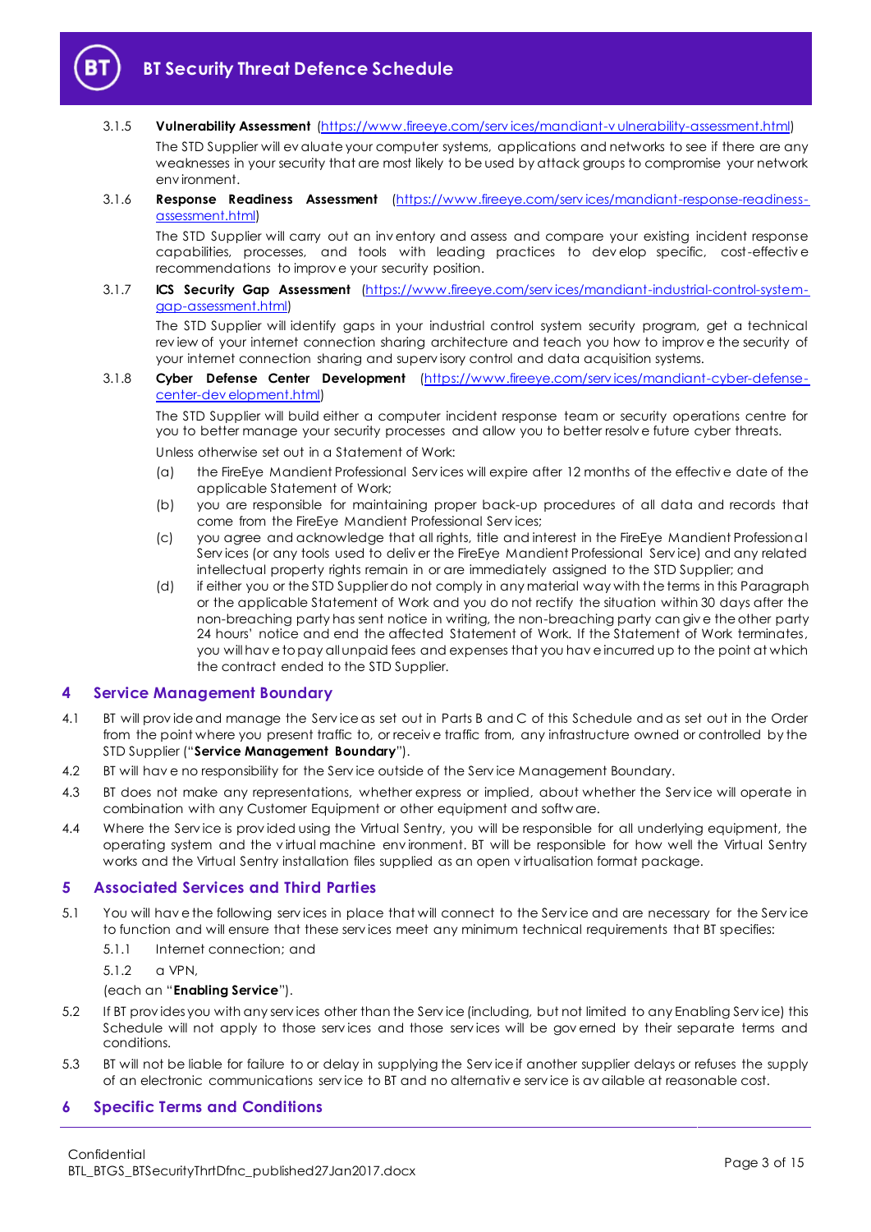

3.1.5 **Vulnerability Assessment** [\(https://www.fireeye.com/serv ices/mandiant-v ulnerability-assessment.html\)](https://www.fireeye.com/services/mandiant-vulnerability-assessment.html)

The STD Supplier will ev aluate your computer systems, applications and networks to see if there are any weaknesses in your security that are most likely to be used by attack groups to compromise your network env ironment.

#### 3.1.6 **Response Readiness Assessment** [\(https://www.fireeye.com/serv ices/mandiant-response-readiness](https://www.fireeye.com/services/mandiant-response-readiness-assessment.html)[assessment.html\)](https://www.fireeye.com/services/mandiant-response-readiness-assessment.html)

The STD Supplier will carry out an inv entory and assess and compare your existing incident response capabilities, processes, and tools with leading practices to dev elop specific, cost-effectiv e recommendations to improv e your security position.

#### 3.1.7 **ICS Security Gap Assessment** [\(https://www.fireeye.com/serv ices/mandiant-industrial-control-system](https://www.fireeye.com/services/mandiant-industrial-control-system-gap-assessment.html)[gap-assessment.html\)](https://www.fireeye.com/services/mandiant-industrial-control-system-gap-assessment.html)

The STD Supplier will identify gaps in your industrial control system security program, get a technical rev iew of your internet connection sharing architecture and teach you how to improv e the security of your internet connection sharing and superv isory control and data acquisition systems.

3.1.8 **Cyber Defense Center Development** [\(https://www.fireeye.com/serv ices/mandiant-cyber-defense](https://www.fireeye.com/services/mandiant-cyber-defense-center-development.html)[center-dev elopment.html\)](https://www.fireeye.com/services/mandiant-cyber-defense-center-development.html)

The STD Supplier will build either a computer incident response team or security operations centre for you to better manage your security processes and allow you to better resolv e future cyber threats.

Unless otherwise set out in a Statement of Work:

- (a) the FireEye Mandient Professional Serv ices will expire after 12 months of the effectiv e date of the applicable Statement of Work;
- (b) you are responsible for maintaining proper back-up procedures of all data and records that come from the FireEye Mandient Professional Serv ices;
- (c) you agree and acknowledge that all rights, title and interest in the FireEye Mandient Professional Serv ices (or any tools used to deliv er the FireEye Mandient Professional Serv ice) and any related intellectual property rights remain in or are immediately assigned to the STD Supplier; and
- (d) if either you or the STD Supplier do not comply in any material way with the terms in this Paragraph or the applicable Statement of Work and you do not rectify the situation within 30 days after the non-breaching party has sent notice in writing, the non-breaching party can giv e the other party 24 hours' notice and end the affected Statement of Work. If the Statement of Work terminates, you will hav e to pay all unpaid fees and expenses that you hav e incurred up to the point at which the contract ended to the STD Supplier.

# <span id="page-2-0"></span>**4 Service Management Boundary**

- <span id="page-2-4"></span>4.1 BT will prov ide and manage the Serv ice as set out in Parts B and C of this Schedule and as set out in the Order from the point where you present traffic to, or receiv e traffic from, any infrastructure owned or controlled by the STD Supplier ("**Service Management Boundary**").
- 4.2 BT will have no responsibility for the Service outside of the Service Management Boundary.
- 4.3 BT does not make any representations, whether express or implied, about whether the Service will operate in combination with any Customer Equipment or other equipment and softw are.
- 4.4 Where the Serv ice is prov ided using the Virtual Sentry, you will be responsible for all underlying equipment, the operating system and the v irtual machine env ironment. BT will be responsible for how well the Virtual Sentry works and the Virtual Sentry installation files supplied as an open v irtualisation format package.

# <span id="page-2-1"></span>**5 Associated Services and Third Parties**

- <span id="page-2-3"></span>5.1 You will hav e the following serv ices in place that will connect to the Serv ice and are necessary for the Serv ice to function and will ensure that these serv ices meet any minimum technical requirements that BT specifies:
	- 5.1.1 Internet connection; and
	- 5.1.2 a VPN,

#### (each an "**Enabling Service**").

- 5.2 If BT prov ides you with any serv ices other than the Serv ice (including, but not limited to any Enabling Serv ice) this Schedule will not apply to those serv ices and those serv ices will be gov erned by their separate terms and conditions.
- 5.3 BT will not be liable for failure to or delay in supplying the Serv ice if another supplier delays or refuses the supply of an electronic communications serv ice to BT and no alternativ e serv ice is av ailable at reasonable cost.

# <span id="page-2-2"></span>**6 Specific Terms and Conditions**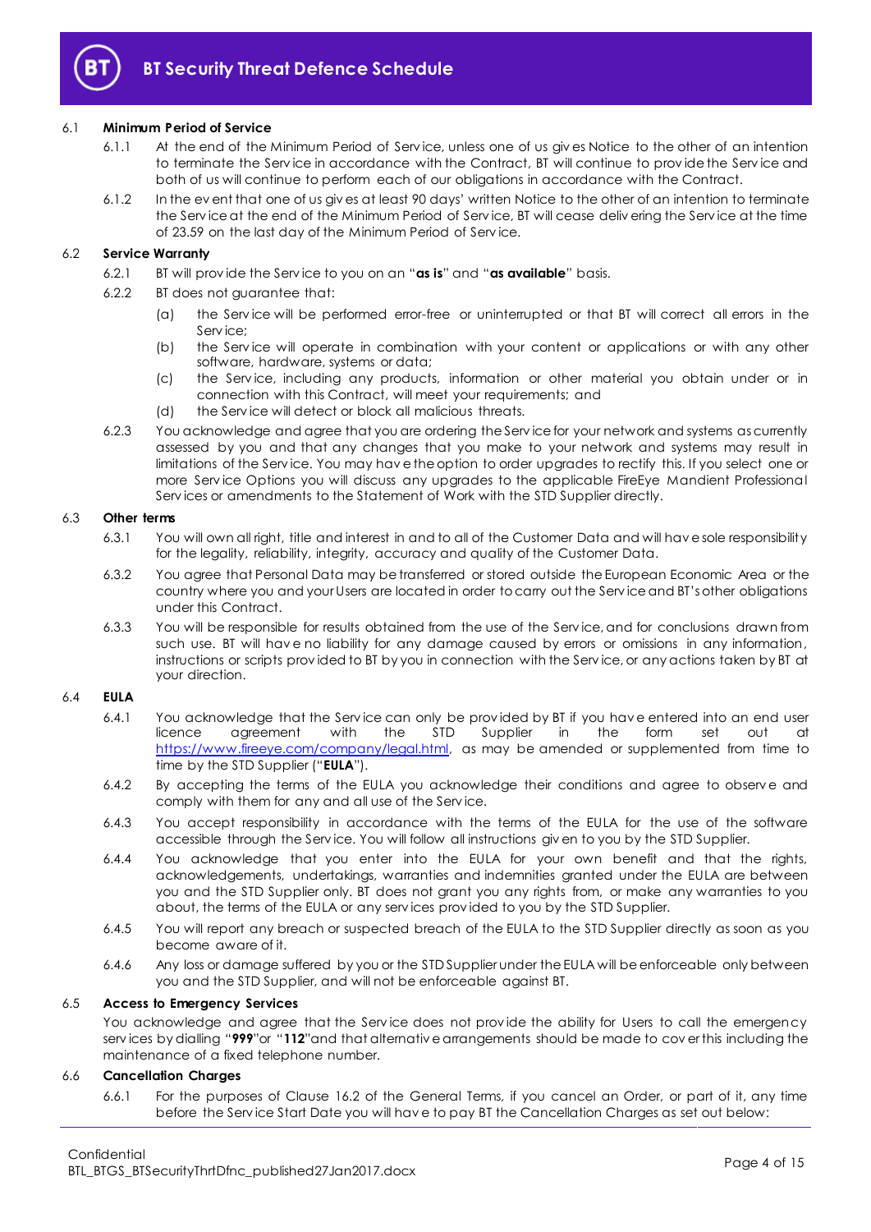

#### 6.1 **Minimum Period of Service**

- 6.1.1 At the end of the Minimum Period of Serv ice, unless one of us giv es Notice to the other of an intention to terminate the Serv ice in accordance with the Contract, BT will continue to prov ide the Serv ice and both of us will continue to perform each of our obligations in accordance with the Contract.
- 6.1.2 In the ev ent that one of us giv es at least 90 days' written Notice to the other of an intention to terminate the Serv ice at the end of the Minimum Period of Serv ice, BT will cease deliv ering the Serv ice at the time of 23.59 on the last day of the Minimum Period of Serv ice.

#### 6.2 **Service Warranty**

- 6.2.1 BT will prov ide the Serv ice to you on an "**as is**" and "**as available**" basis.
- 6.2.2 BT does not guarantee that:
	- (a) the Serv ice will be performed error-free or uninterrupted or that BT will correct all errors in the Service;
	- (b) the Serv ice will operate in combination with your content or applications or with any other software, hardware, systems or data;
	- (c) the Serv ice, including any products, information or other material you obtain under or in connection with this Contract, will meet your requirements; and
	- (d) the Serv ice will detect or block all malicious threats.
- 6.2.3 You acknowledge and agree that you are ordering the Serv ice for your network and systems as currently assessed by you and that any changes that you make to your network and systems may result in limitations of the Serv ice. You may hav e the option to order upgrades to rectify this. If you select one or more Serv ice Options you will discuss any upgrades to the applicable FireEye Mandient Professional Serv ices or amendments to the Statement of Work with the STD Supplier directly.

#### 6.3 **Other terms**

- 6.3.1 You will own all right, title and interest in and to all of the Customer Data and will hav e sole responsibility for the legality, reliability, integrity, accuracy and quality of the Customer Data.
- 6.3.2 You agree that Personal Data may be transferred or stored outside the European Economic Area or the country where you and your Users are located in order to carry out the Serv ice and BT's other obligations under this Contract.
- 6.3.3 You will be responsible for results obtained from the use of the Serv ice, and for conclusions drawn from such use. BT will hav e no liability for any damage caused by errors or omissions in any information, instructions or scripts prov ided to BT by you in connection with the Serv ice, or any actions taken by BT at your direction.

# 6.4 **EULA**

- 6.4.1 You acknowledge that the Serv ice can only be prov ided by BT if you hav e entered into an end user licence agreement with the STD Supplier in the form set out at [https://www.fireeye.com/company/legal.html,](https://www.fireeye.com/company/legal.html) as may be amended or supplemented from time to time by the STD Supplier ("**EULA**").
- 6.4.2 By accepting the terms of the EULA you acknowledge their conditions and agree to observe and comply with them for any and all use of the Serv ice.
- 6.4.3 You accept responsibility in accordance with the terms of the EULA for the use of the software accessible through the Serv ice. You will follow all instructions giv en to you by the STD Supplier.
- 6.4.4 You acknowledge that you enter into the EULA for your own benefit and that the rights, acknowledgements, undertakings, warranties and indemnities granted under the EULA are between you and the STD Supplier only. BT does not grant you any rights from, or make any warranties to you about, the terms of the EULA or any serv ices prov ided to you by the STD Supplier.
- 6.4.5 You will report any breach or suspected breach of the EULA to the STD Supplier directly as soon as you become aware of it.
- 6.4.6 Any loss or damage suffered by you or the STD Supplier under the EULA will be enforceable only between you and the STD Supplier, and will not be enforceable against BT.

#### 6.5 **Access to Emergency Services**

You acknowledge and agree that the Service does not provide the ability for Users to call the emergency serv ices by dialling "**999**"or "**112**"and that alternativ e arrangements should be made to cov er this including the maintenance of a fixed telephone number.

#### 6.6 **Cancellation Charges**

6.6.1 For the purposes of Clause 16.2 of the General Terms, if you cancel an Order, or part of it, any time before the Serv ice Start Date you will hav e to pay BT the Cancellation Charges as set out below: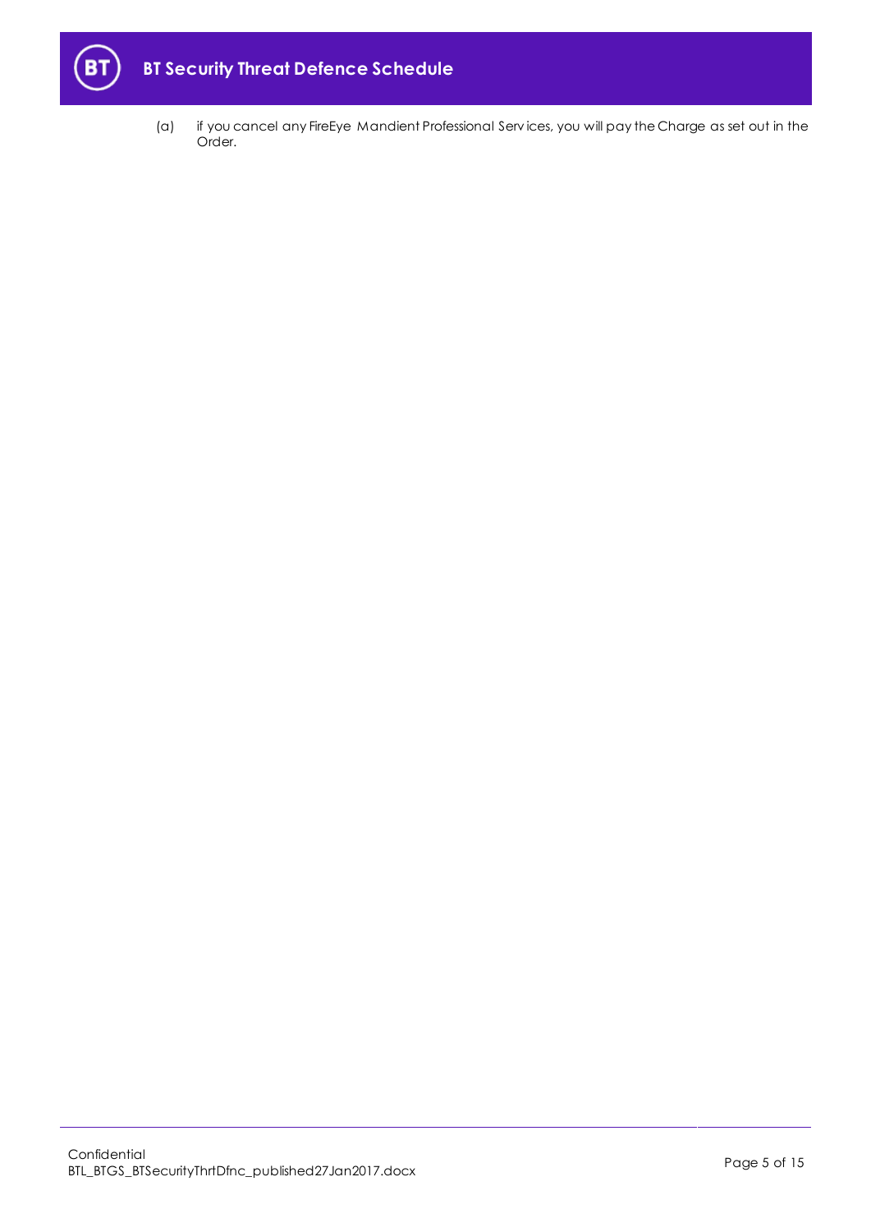

(a) if you cancel any FireEye Mandient Professional Serv ices, you will pay the Charge as set out in the Order.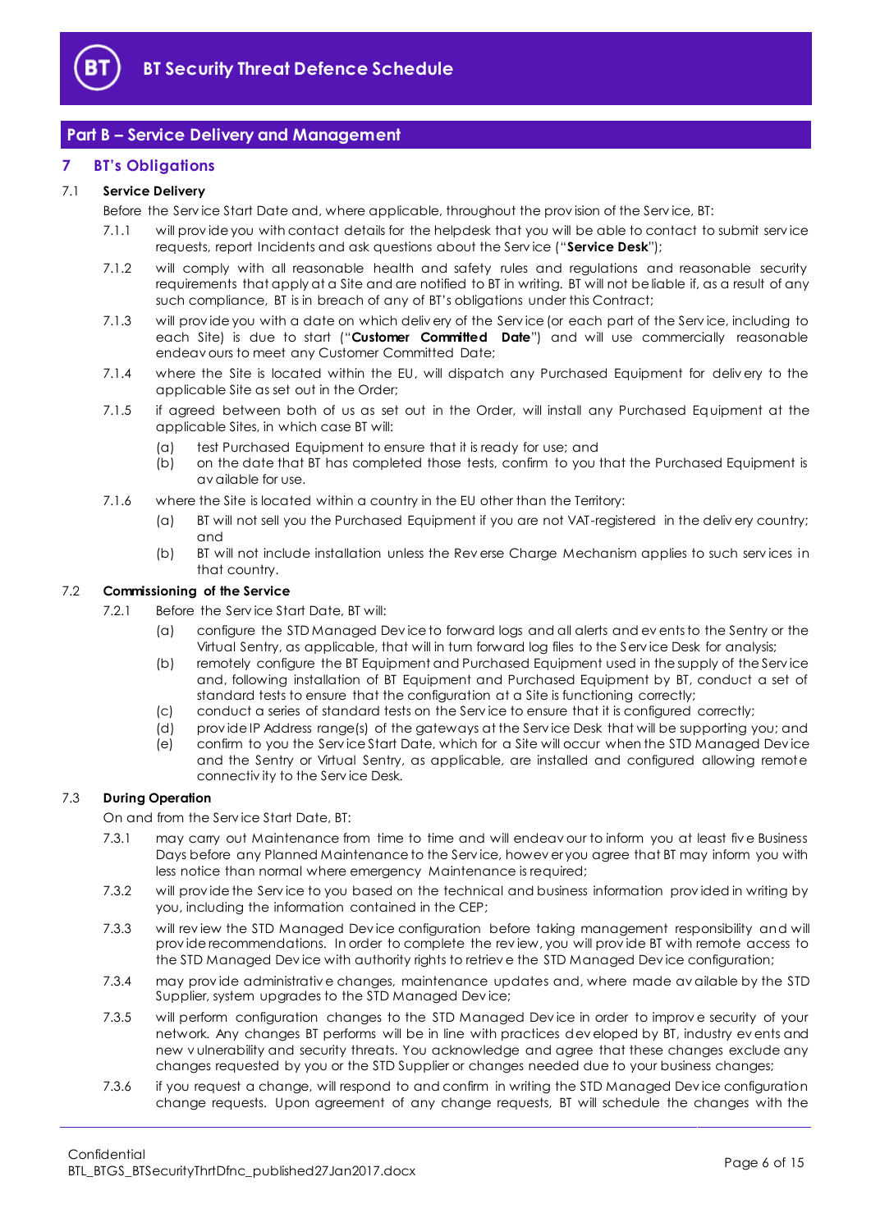

# <span id="page-5-0"></span>**Part B – Service Delivery and Management**

# <span id="page-5-1"></span>**7 BT's Obligations**

#### <span id="page-5-5"></span>7.1 **Service Delivery**

Before the Serv ice Start Date and, where applicable, throughout the prov ision of the Serv ice, BT:

- 7.1.1 will prov ide you with contact details for the helpdesk that you will be able to contact to submit serv ice requests, report Incidents and ask questions about the Serv ice ("**Service Desk**");
- 7.1.2 will comply with all reasonable health and safety rules and regulations and reasonable security requirements that apply at a Site and are notified to BT in writing. BT will not be liable if, as a result of any such compliance, BT is in breach of any of BT's obligations under this Contract;
- <span id="page-5-4"></span>7.1.3 will prov ide you with a date on which deliv ery of the Serv ice (or each part of the Serv ice, including to each Site) is due to start ("**Customer Committed Date**") and will use commercially reasonable endeav ours to meet any Customer Committed Date;
- 7.1.4 where the Site is located within the EU, will dispatch any Purchased Equipment for deliv ery to the applicable Site as set out in the Order;
- 7.1.5 if agreed between both of us as set out in the Order, will install any Purchased Equipment at the applicable Sites, in which case BT will:
	- (a) test Purchased Equipment to ensure that it is ready for use; and
	- (b) on the date that BT has completed those tests, confirm to you that the Purchased Equipment is av ailable for use.
- 7.1.6 where the Site is located within a country in the EU other than the Territory:
	- (a) BT will not sell you the Purchased Equipment if you are not VAT-registered in the deliv ery country; and
	- (b) BT will not include installation unless the Rev erse Charge Mechanism applies to such serv ices in that country.

#### <span id="page-5-3"></span><span id="page-5-2"></span>7.2 **Commissioning of the Service**

- 7.2.1 Before the Serv ice Start Date, BT will:
	- (a) configure the STD Managed Dev ice to forward logs and all alerts and ev ents to the Sentry or the Virtual Sentry, as applicable, that will in turn forward log files to the Serv ice Desk for analysis;
	- (b) remotely configure the BT Equipment and Purchased Equipment used in the supply of the Serv ice and, following installation of BT Equipment and Purchased Equipment by BT, conduct a set of standard tests to ensure that the configuration at a Site is functioning correctly;
	- (c) conduct a series of standard tests on the Serv ice to ensure that it is configured correctly;
	- (d) prov ide IP Address range(s) of the gateways at the Serv ice Desk that will be supporting you; and
	- (e) confirm to you the Serv ice Start Date, which for a Site will occur when the STD Managed Dev ice and the Sentry or Virtual Sentry, as applicable, are installed and configured allowing remote connectiv ity to the Serv ice Desk.

#### 7.3 **During Operation**

On and from the Serv ice Start Date, BT:

- 7.3.1 may carry out Maintenance from time to time and will endeav our to inform you at least fiv e Business Days before any Planned Maintenance to the Serv ice, howev er you agree that BT may inform you with less notice than normal where emergency Maintenance is required;
- 7.3.2 will prov ide the Serv ice to you based on the technical and business information prov ided in writing by you, including the information contained in the CEP;
- 7.3.3 will rev iew the STD Managed Dev ice configuration before taking management responsibility and will prov ide recommendations. In order to complete the rev iew, you will prov ide BT with remote access to the STD Managed Dev ice with authority rights to retriev e the STD Managed Dev ice configuration;
- 7.3.4 may prov ide administrativ e changes, maintenance updates and, where made av ailable by the STD Supplier, system upgrades to the STD Managed Dev ice;
- 7.3.5 will perform configuration changes to the STD Managed Dev ice in order to improv e security of your network. Any changes BT performs will be in line with practices dev eloped by BT, industry ev ents and new v ulnerability and security threats. You acknowledge and agree that these changes exclude any changes requested by you or the STD Supplier or changes needed due to your business changes;
- 7.3.6 if you request a change, will respond to and confirm in writing the STD Managed Dev ice configuration change requests. Upon agreement of any change requests, BT will schedule the changes with the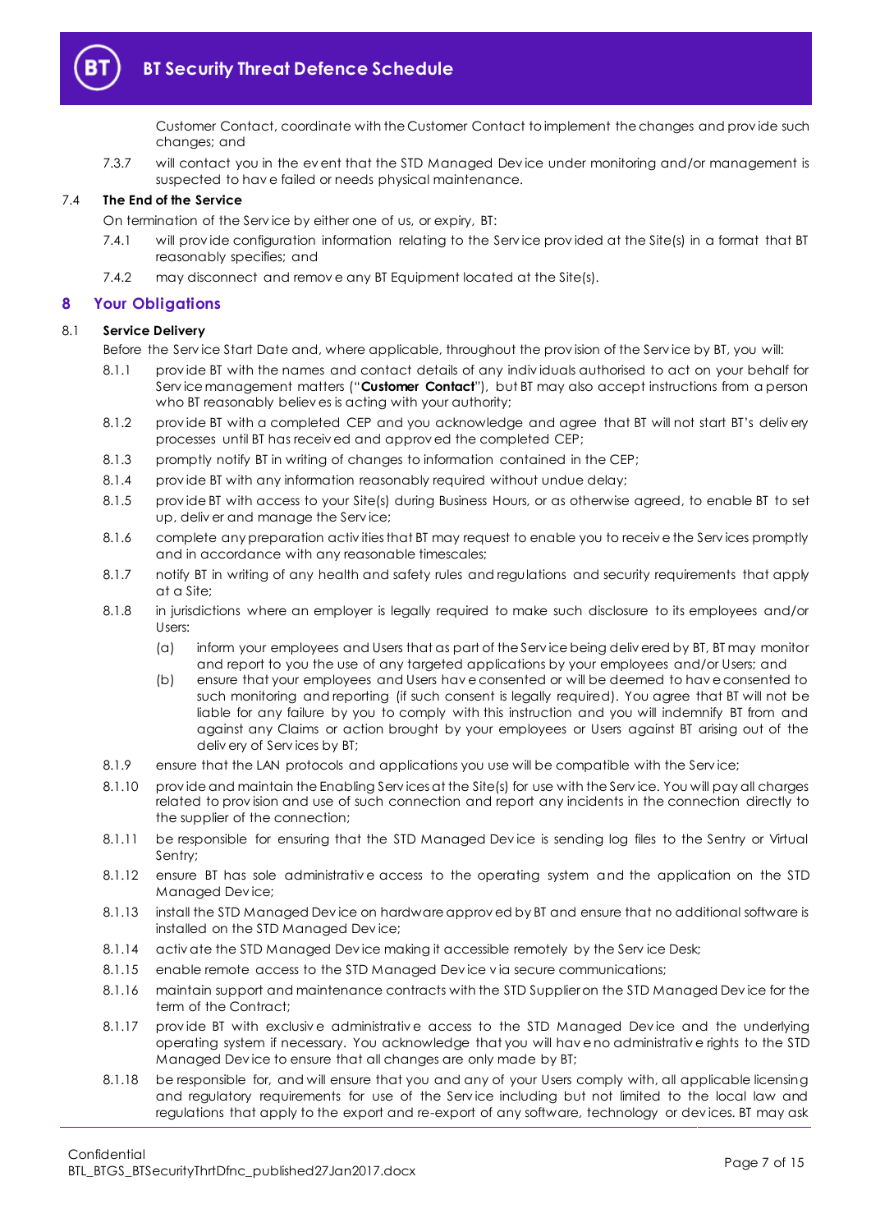

Customer Contact, coordinate with the Customer Contact to implement the changes and prov ide such changes; and

7.3.7 will contact you in the ev ent that the STD Managed Dev ice under monitoring and/or management is suspected to hav e failed or needs physical maintenance.

#### 7.4 **The End of the Service**

On termination of the Serv ice by either one of us, or expiry, BT:

- 7.4.1 will prov ide configuration information relating to the Serv ice prov ided at the Site(s) in a format that BT reasonably specifies; and
- 7.4.2 may disconnect and remov e any BT Equipment located at the Site(s).

#### <span id="page-6-0"></span>**8 Your Obligations**

#### <span id="page-6-3"></span>8.1 **Service Delivery**

Before the Serv ice Start Date and, where applicable, throughout the prov ision of the Serv ice by BT, you will:

- 8.1.1 prov ide BT with the names and contact details of any indiv iduals authorised to act on your behalf for Serv ice management matters ("**Customer Contact**"), but BT may also accept instructions from a person who BT reasonably believ es is acting with your authority;
- 8.1.2 provide BT with a completed CEP and you acknowledge and agree that BT will not start BT's delivery processes until BT has receiv ed and approv ed the completed CEP;
- <span id="page-6-1"></span>8.1.3 promptly notify BT in writing of changes to information contained in the CEP;
- 8.1.4 prov ide BT with any information reasonably required without undue delay;
- 8.1.5 prov ide BT with access to your Site(s) during Business Hours, or as otherwise agreed, to enable BT to set up, deliv er and manage the Serv ice;
- 8.1.6 complete any preparation activ ities that BT may request to enable you to receiv e the Serv ices promptly and in accordance with any reasonable timescales;
- 8.1.7 notify BT in writing of any health and safety rules and regulations and security requirements that apply at a Site;
- 8.1.8 in jurisdictions where an employer is legally required to make such disclosure to its employees and/or Users:
	- (a) inform your employees and Users that as part of the Serv ice being deliv ered by BT, BT may monitor and report to you the use of any targeted applications by your employees and/or Users; and
	- (b) ensure that your employees and Users hav e consented or will be deemed to hav e consented to such monitoring and reporting (if such consent is legally required). You agree that BT will not be liable for any failure by you to comply with this instruction and you will indemnify BT from and against any Claims or action brought by your employees or Users against BT arising out of the deliv ery of Serv ices by BT;
- 8.1.9 ensure that the LAN protocols and applications you use will be compatible with the Service;
- 8.1.10 prov ide and maintain the Enabling Services at the Site(s) for use with the Service. You will pay all charges related to prov ision and use of such connection and report any incidents in the connection directly to the supplier of the connection;
- 8.1.11 be responsible for ensuring that the STD Managed Dev ice is sending log files to the Sentry or Virtual Sentry;
- 8.1.12 ensure BT has sole administrativ e access to the operating system and the application on the STD Managed Dev ice;
- 8.1.13 install the STD Managed Dev ice on hardware approv ed by BT and ensure that no additional software is installed on the STD Managed Dev ice;
- 8.1.14 activ ate the STD Managed Device making it accessible remotely by the Service Desk;
- 8.1.15 enable remote access to the STD Managed Dev ice v ia secure communications;
- <span id="page-6-2"></span>8.1.16 maintain support and maintenance contracts with the STD Supplier on the STD Managed Dev ice for the term of the Contract;
- 8.1.17 prov ide BT with exclusiv e administrativ e access to the STD Managed Dev ice and the underlying operating system if necessary. You acknowledge that you will hav e no administrativ e rights to the STD Managed Dev ice to ensure that all changes are only made by BT;
- 8.1.18 be responsible for, and will ensure that you and any of your Users comply with, all applicable licensing and regulatory requirements for use of the Service including but not limited to the local law and regulations that apply to the export and re-export of any software, technology or dev ices. BT may ask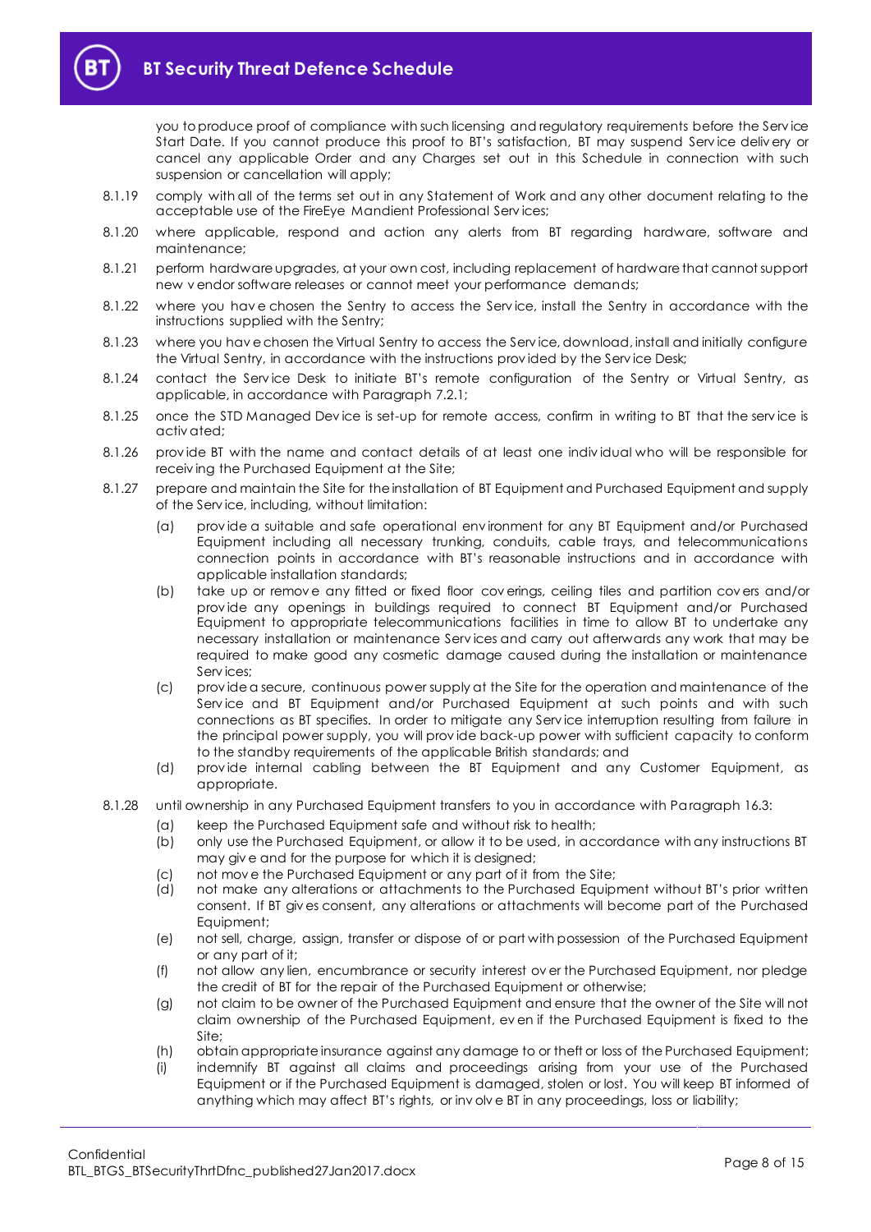you to produce proof of compliance with such licensing and regulatory requirements before the Serv ice Start Date. If you cannot produce this proof to BT's satisfaction, BT may suspend Serv ice deliv ery or cancel any applicable Order and any Charges set out in this Schedule in connection with such suspension or cancellation will apply;

- 8.1.19 comply with all of the terms set out in any Statement of Work and any other document relating to the acceptable use of the FireEye Mandient Professional Serv ices;
- 8.1.20 where applicable, respond and action any alerts from BT regarding hardware, software and maintenance;
- 8.1.21 perform hardware upgrades, at your own cost, including replacement of hardware that cannot support new v endor software releases or cannot meet your performance demands;
- 8.1.22 where you hav e chosen the Sentry to access the Serv ice, install the Sentry in accordance with the instructions supplied with the Sentry;
- 8.1.23 where you hav e chosen the Virtual Sentry to access the Serv ice, download, install and initially configure the Virtual Sentry, in accordance with the instructions prov ided by the Serv ice Desk;
- 8.1.24 contact the Service Desk to initiate BT's remote configuration of the Sentry or Virtual Sentry, as applicable, in accordance with Paragraph [7.2.1;](#page-5-2)
- 8.1.25 once the STD Managed Device is set-up for remote access, confirm in writing to BT that the service is activ ated;
- 8.1.26 prov ide BT with the name and contact details of at least one indiv idual who will be responsible for receiv ing the Purchased Equipment at the Site;
- 8.1.27 prepare and maintain the Site for the installation of BT Equipment and Purchased Equipment and supply of the Serv ice, including, without limitation:
	- (a) prov ide a suitable and safe operational env ironment for any BT Equipment and/or Purchased Equipment including all necessary trunking, conduits, cable trays, and telecommunications connection points in accordance with BT's reasonable instructions and in accordance with applicable installation standards;
	- (b) take up or remov e any fitted or fixed floor cov erings, ceiling tiles and partition cov ers and/or prov ide any openings in buildings required to connect BT Equipment and/or Purchased Equipment to appropriate telecommunications facilities in time to allow BT to undertake any necessary installation or maintenance Serv ices and carry out afterwards any work that may be required to make good any cosmetic damage caused during the installation or maintenance Serv ices;
	- (c) prov ide a secure, continuous power supply at the Site for the operation and maintenance of the Serv ice and BT Equipment and/or Purchased Equipment at such points and with such connections as BT specifies. In order to mitigate any Serv ice interruption resulting from failure in the principal power supply, you will prov ide back-up power with sufficient capacity to conform to the standby requirements of the applicable British standards; and
	- (d) prov ide internal cabling between the BT Equipment and any Customer Equipment, as appropriate.
- 8.1.28 until ownership in any Purchased Equipment transfers to you in accordance with Paragrap[h 16.3:](#page-10-4)
	- (a) keep the Purchased Equipment safe and without risk to health;
	- (b) only use the Purchased Equipment, or allow it to be used, in accordance with any instructions BT may giv e and for the purpose for which it is designed;
	- (c) not mov e the Purchased Equipment or any part of it from the Site;
	- (d) not make any alterations or attachments to the Purchased Equipment without BT's prior written consent. If BT giv es consent, any alterations or attachments will become part of the Purchased Equipment;
	- (e) not sell, charge, assign, transfer or dispose of or part with possession of the Purchased Equipment or any part of it;
	- (f) not allow any lien, encumbrance or security interest ov er the Purchased Equipment, nor pledge the credit of BT for the repair of the Purchased Equipment or otherwise;
	- (g) not claim to be owner of the Purchased Equipment and ensure that the owner of the Site will not claim ownership of the Purchased Equipment, ev en if the Purchased Equipment is fixed to the Site;
	- (h) obtain appropriate insurance against any damage to or theft or loss of the Purchased Equipment;
	- (i) indemnify BT against all claims and proceedings arising from your use of the Purchased Equipment or if the Purchased Equipment is damaged, stolen or lost. You will keep BT informed of anything which may affect BT's rights, or inv olv e BT in any proceedings, loss or liability;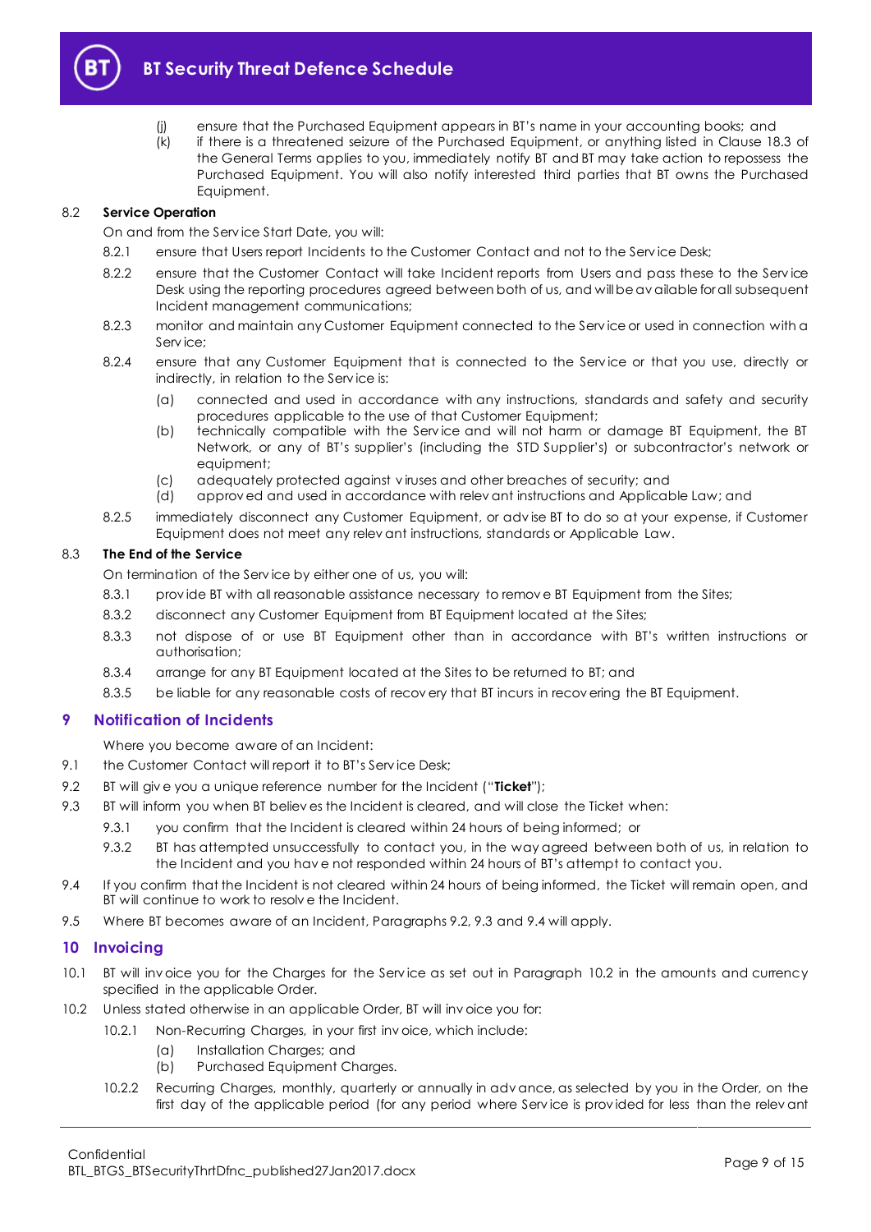

- (j) ensure that the Purchased Equipment appears in BT's name in your accounting books; and
- (k) if there is a threatened seizure of the Purchased Equipment, or anything listed in Clause 18.3 of the General Terms applies to you, immediately notify BT and BT may take action to repossess the Purchased Equipment. You will also notify interested third parties that BT owns the Purchased Equipment.

#### 8.2 **Service Operation**

On and from the Serv ice Start Date, you will:

- 8.2.1 ensure that Users report Incidents to the Customer Contact and not to the Service Desk:
- 8.2.2 ensure that the Customer Contact will take Incident reports from Users and pass these to the Service Desk using the reporting procedures agreed between both of us, and will be av ailable for all subsequent Incident management communications;
- 8.2.3 monitor and maintain any Customer Equipment connected to the Serv ice or used in connection with a Serv ice;
- 8.2.4 ensure that any Customer Equipment that is connected to the Service or that you use, directly or indirectly, in relation to the Serv ice is:
	- (a) connected and used in accordance with any instructions, standards and safety and security procedures applicable to the use of that Customer Equipment;
	- (b) technically compatible with the Serv ice and will not harm or damage BT Equipment, the BT Network, or any of BT's supplier's (including the STD Supplier's) or subcontractor's network or equipment;
	- (c) adequately protected against v iruses and other breaches of security; and
	- (d) approv ed and used in accordance with relev ant instructions and Applicable Law; and
- 8.2.5 immediately disconnect any Customer Equipment, or adv ise BT to do so at your expense, if Customer Equipment does not meet any relev ant instructions, standards or Applicable Law.

#### 8.3 **The End of the Service**

On termination of the Serv ice by either one of us, you will:

- 8.3.1 provide BT with all reasonable assistance necessary to remove BT Equipment from the Sites;
- 8.3.2 disconnect any Customer Equipment from BT Equipment located at the Sites;
- 8.3.3 not dispose of or use BT Equipment other than in accordance with BT's written instructions or authorisation;
- 8.3.4 arrange for any BT Equipment located at the Sites to be returned to BT; and
- 8.3.5 be liable for any reasonable costs of recov ery that BT incurs in recov ering the BT Equipment.

# <span id="page-8-0"></span>**9 Notification of Incidents**

Where you become aware of an Incident:

- 9.1 the Customer Contact will report it to BT's Service Desk;
- <span id="page-8-2"></span>9.2 BT will giv e you a unique reference number for the Incident ("**Ticket**");
- <span id="page-8-3"></span>9.3 BT will inform you when BT believ es the Incident is cleared, and will close the Ticket when:
	- 9.3.1 you confirm that the Incident is cleared within 24 hours of being informed; or
	- 9.3.2 BT has attempted unsuccessfully to contact you, in the way agreed between both of us, in relation to the Incident and you hav e not responded within 24 hours of BT's attempt to contact you.
- <span id="page-8-4"></span>9.4 If you confirm that the Incident is not cleared within 24 hours of being informed, the Ticket will remain open, and BT will continue to work to resolv e the Incident.
- 9.5 Where BT becomes aware of an Incident, Paragraph[s 9.2,](#page-8-2) [9.3](#page-8-3) and [9.4](#page-8-4) will apply.

# <span id="page-8-1"></span>**10 Invoicing**

- <span id="page-8-6"></span>10.1 BT will inv oice you for the Charges for the Serv ice as set out in Paragraph [10.2](#page-8-5) in the amounts and currency specified in the applicable Order.
- <span id="page-8-5"></span>10.2 Unless stated otherwise in an applicable Order, BT will inv oice you for:
	- 10.2.1 Non-Recurring Charges, in your first invoice, which include:
		- (a) Installation Charges; and
		- (b) Purchased Equipment Charges.
	- 10.2.2 Recurring Charges, monthly, quarterly or annually in adv ance, as selected by you in the Order, on the first day of the applicable period (for any period where Serv ice is prov ided for less than the relev ant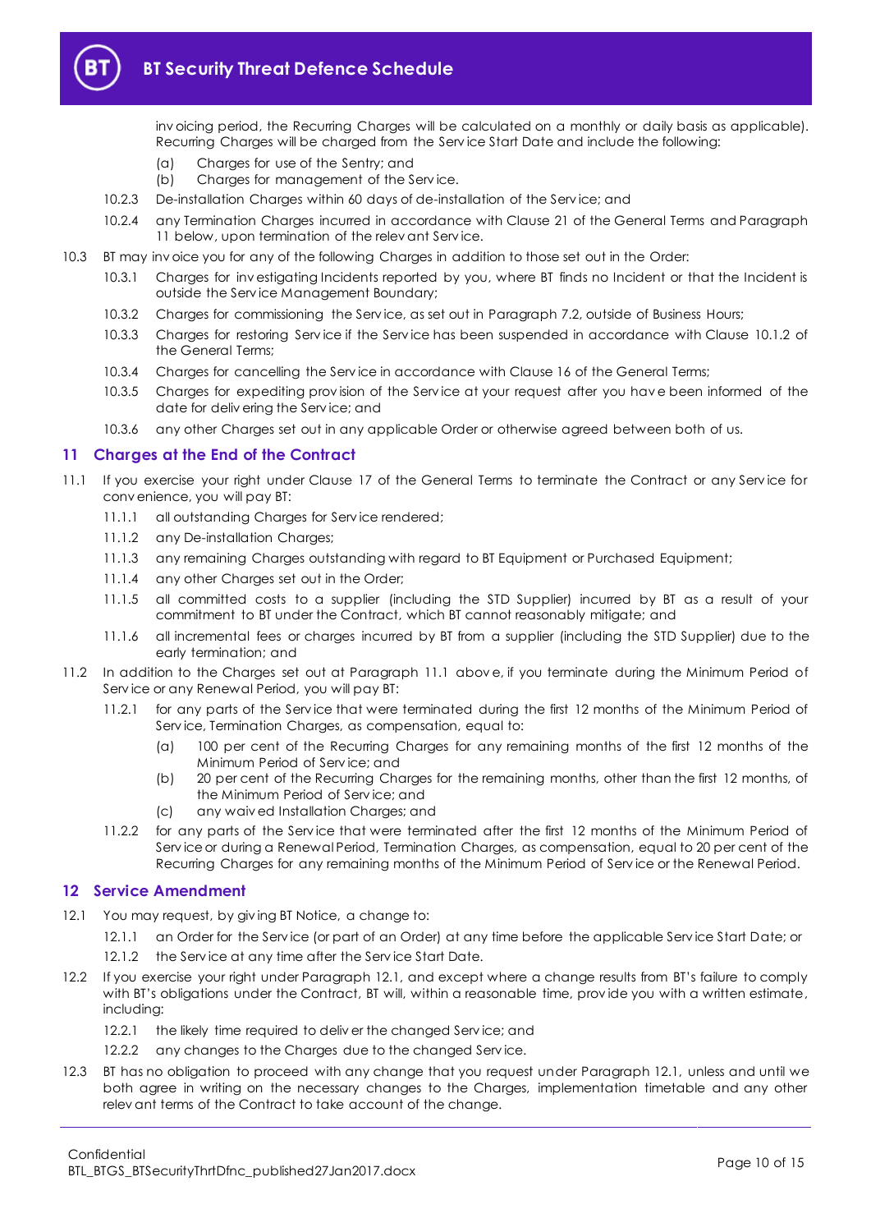

inv oicing period, the Recurring Charges will be calculated on a monthly or daily basis as applicable). Recurring Charges will be charged from the Serv ice Start Date and include the following:

- (a) Charges for use of the Sentry; and
- (b) Charges for management of the Serv ice.
- 10.2.3 De-installation Charges within 60 days of de-installation of the Serv ice; and
- 10.2.4 any Termination Charges incurred in accordance with Clause 21 of the General Terms and Paragraph [11](#page-9-0) below, upon termination of the relev ant Service.
- 10.3 BT may inv oice you for any of the following Charges in addition to those set out in the Order:
	- 10.3.1 Charges for inv estigating Incidents reported by you, where BT finds no Incident or that the Incident is outside the Serv ice Management Boundary;
	- 10.3.2 Charges for commissioning the Serv ice, as set out in Paragrap[h 7.2,](#page-5-3) outside of Business Hours;
	- 10.3.3 Charges for restoring Serv ice if the Serv ice has been suspended in accordance with Clause 10.1.2 of the General Terms;
	- 10.3.4 Charges for cancelling the Serv ice in accordance with Clause 16 of the General Terms;
	- 10.3.5 Charges for expediting prov ision of the Serv ice at your request after you hav e been informed of the date for deliv ering the Serv ice; and
	- 10.3.6 any other Charges set out in any applicable Order or otherwise agreed between both of us.

#### <span id="page-9-0"></span>**11 Charges at the End of the Contract**

- <span id="page-9-2"></span>If you exercise your right under Clause 17 of the General Terms to terminate the Contract or any Service for conv enience, you will pay BT:
	- 11.1.1 all outstanding Charges for Serv ice rendered;
	- 11.1.2 any De-installation Charges;
	- 11.1.3 any remaining Charges outstanding with regard to BT Equipment or Purchased Equipment;
	- 11.1.4 any other Charges set out in the Order;
	- 11.1.5 all committed costs to a supplier (including the STD Supplier) incurred by BT as a result of your commitment to BT under the Contract, which BT cannot reasonably mitigate; and
	- 11.1.6 all incremental fees or charges incurred by BT from a supplier (including the STD Supplier) due to the early termination; and
- 11.2 In addition to the Charges set out at Paragraph [11.1](#page-9-2) abov e, if you terminate during the Minimum Period of Serv ice or any Renewal Period, you will pay BT:
	- 11.2.1 for any parts of the Serv ice that were terminated during the first 12 months of the Minimum Period of Serv ice, Termination Charges, as compensation, equal to:
		- (a) 100 per cent of the Recurring Charges for any remaining months of the first 12 months of the Minimum Period of Serv ice; and
		- (b) 20 per cent of the Recurring Charges for the remaining months, other than the first 12 months, of the Minimum Period of Serv ice; and
		- (c) any waiv ed Installation Charges; and
	- 11.2.2 for any parts of the Serv ice that were terminated after the first 12 months of the Minimum Period of Serv ice or during a Renewal Period, Termination Charges, as compensation, equal to 20 per cent of the Recurring Charges for any remaining months of the Minimum Period of Serv ice or the Renewal Period.

#### <span id="page-9-1"></span>**12 Service Amendment**

- <span id="page-9-3"></span>12.1 You may request, by giv ing BT Notice, a change to:
	- 12.1.1 an Order for the Serv ice (or part of an Order) at any time before the applicable Serv ice Start Date; or
	- 12.1.2 the Service at any time after the Service Start Date.
- 12.2 If you exercise your right under Paragraph [12.1](#page-9-3), and except where a change results from BT's failure to comply with BT's obligations under the Contract, BT will, within a reasonable time, provide you with a written estimate, including:
	- 12.2.1 the likely time required to deliver the changed Service; and
	- 12.2.2 any changes to the Charges due to the changed Service.
- 12.3 BT has no obligation to proceed with any change that you request under Paragraph [12.1,](#page-9-3) unless and until we both agree in writing on the necessary changes to the Charges, implementation timetable and any other relev ant terms of the Contract to take account of the change.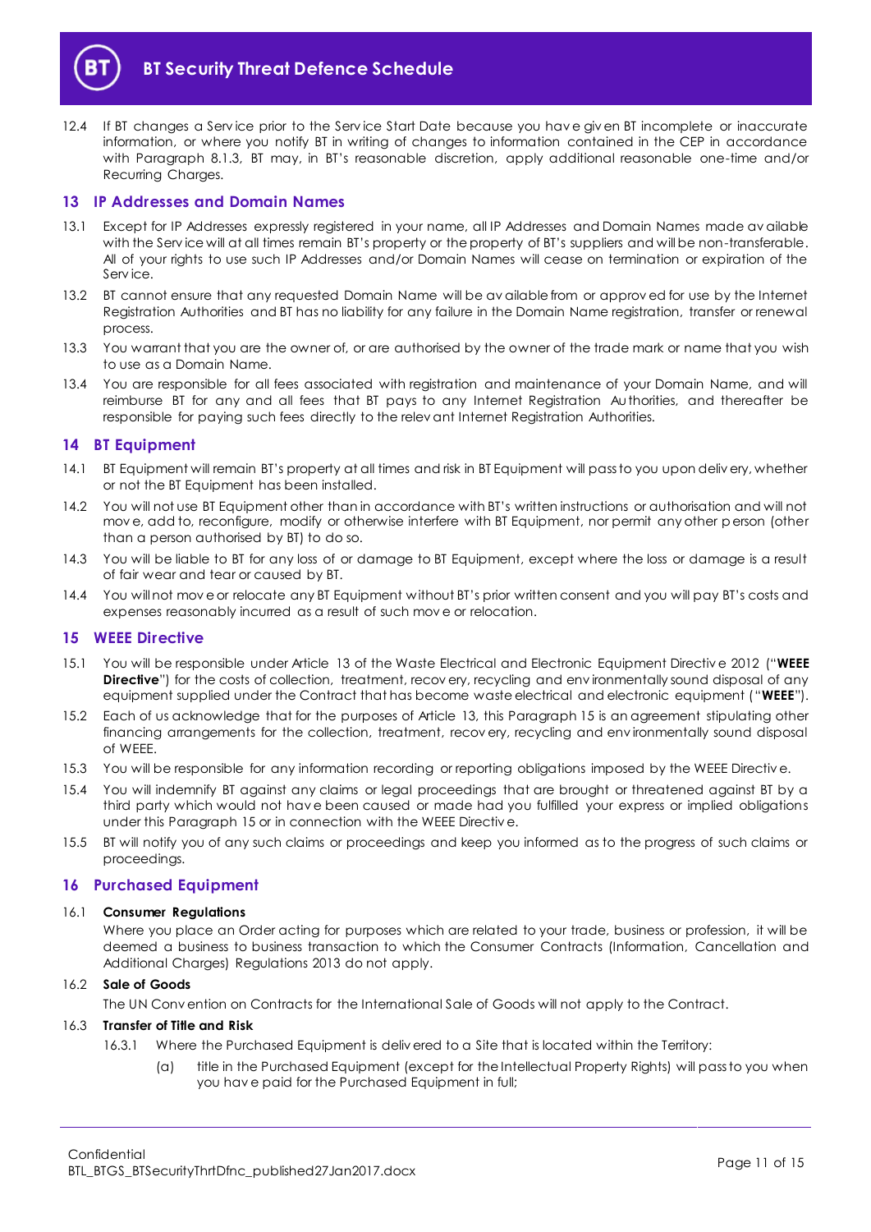

12.4 If BT changes a Serv ice prior to the Serv ice Start Date because you hav e giv en BT incomplete or inaccurate information, or where you notify BT in writing of changes to information contained in the CEP in accordance with Paragraph [8.1.3,](#page-6-1) BT may, in BT's reasonable discretion, apply additional reasonable one-time and/or Recurring Charges.

#### <span id="page-10-0"></span>**13 IP Addresses and Domain Names**

- 13.1 Except for IP Addresses expressly registered in your name, all IP Addresses and Domain Names made av ailable with the Service will at all times remain BT's property or the property of BT's suppliers and will be non-transferable. All of your rights to use such IP Addresses and/or Domain Names will cease on termination or expiration of the Serv ice.
- 13.2 BT cannot ensure that any requested Domain Name will be av ailable from or approv ed for use by the Internet Registration Authorities and BT has no liability for any failure in the Domain Name registration, transfer or renewal process.
- 13.3 You warrant that you are the owner of, or are authorised by the owner of the trade mark or name that you wish to use as a Domain Name.
- 13.4 You are responsible for all fees associated with registration and maintenance of your Domain Name, and will reimburse BT for any and all fees that BT pays to any Internet Registration Authorities, and thereafter be responsible for paying such fees directly to the relev ant Internet Registration Authorities.

# <span id="page-10-1"></span>**14 BT Equipment**

- 14.1 BT Equipment will remain BT's property at all times and risk in BT Equipment will pass to you upon deliv ery, whether or not the BT Equipment has been installed.
- 14.2 You will not use BT Equipment other than in accordance with BT's written instructions or authorisation and will not mov e, add to, reconfigure, modify or otherwise interfere with BT Equipment, nor permit any other person (other than a person authorised by BT) to do so.
- 14.3 You will be liable to BT for any loss of or damage to BT Equipment, except where the loss or damage is a result of fair wear and tear or caused by BT.
- 14.4 You will not mov e or relocate any BT Equipment without BT's prior written consent and you will pay BT's costs and expenses reasonably incurred as a result of such mov e or relocation.

#### <span id="page-10-2"></span>**15 WEEE Directive**

- 15.1 You will be responsible under Article 13 of the Waste Electrical and Electronic Equipment Directiv e 2012 ("**WEEE Directive**") for the costs of collection, treatment, recov ery, recycling and environmentally sound disposal of any equipment supplied under the Contract that has become waste electrical and electronic equipment ("**WEEE**").
- 15.2 Each of us acknowledge that for the purposes of Article 13, this Paragrap[h 15](#page-10-2) is an agreement stipulating other financing arrangements for the collection, treatment, recov ery, recycling and env ironmentally sound disposal of WEEE.
- 15.3 You will be responsible for any information recording or reporting obligations imposed by the WEEE Directive.
- 15.4 You will indemnify BT against any claims or legal proceedings that are brought or threatened against BT by a third party which would not hav e been caused or made had you fulfilled your express or implied obligations under this Paragraph [15](#page-10-2) or in connection with the WEEE Directiv e.
- 15.5 BT will notify you of any such claims or proceedings and keep you informed as to the progress of such claims or proceedings.

#### <span id="page-10-3"></span>**16 Purchased Equipment**

#### 16.1 **Consumer Regulations**

Where you place an Order acting for purposes which are related to your trade, business or profession, it will be deemed a business to business transaction to which the Consumer Contracts (Information, Cancellation and Additional Charges) Regulations 2013 do not apply.

#### 16.2 **Sale of Goods**

The UN Conv ention on Contracts for the International Sale of Goods will not apply to the Contract.

#### <span id="page-10-4"></span>16.3 **Transfer of Title and Risk**

- 16.3.1 Where the Purchased Equipment is deliv ered to a Site that is located within the Territory:
	- (a) title in the Purchased Equipment (except for the Intellectual Property Rights) will pass to you when you hav e paid for the Purchased Equipment in full;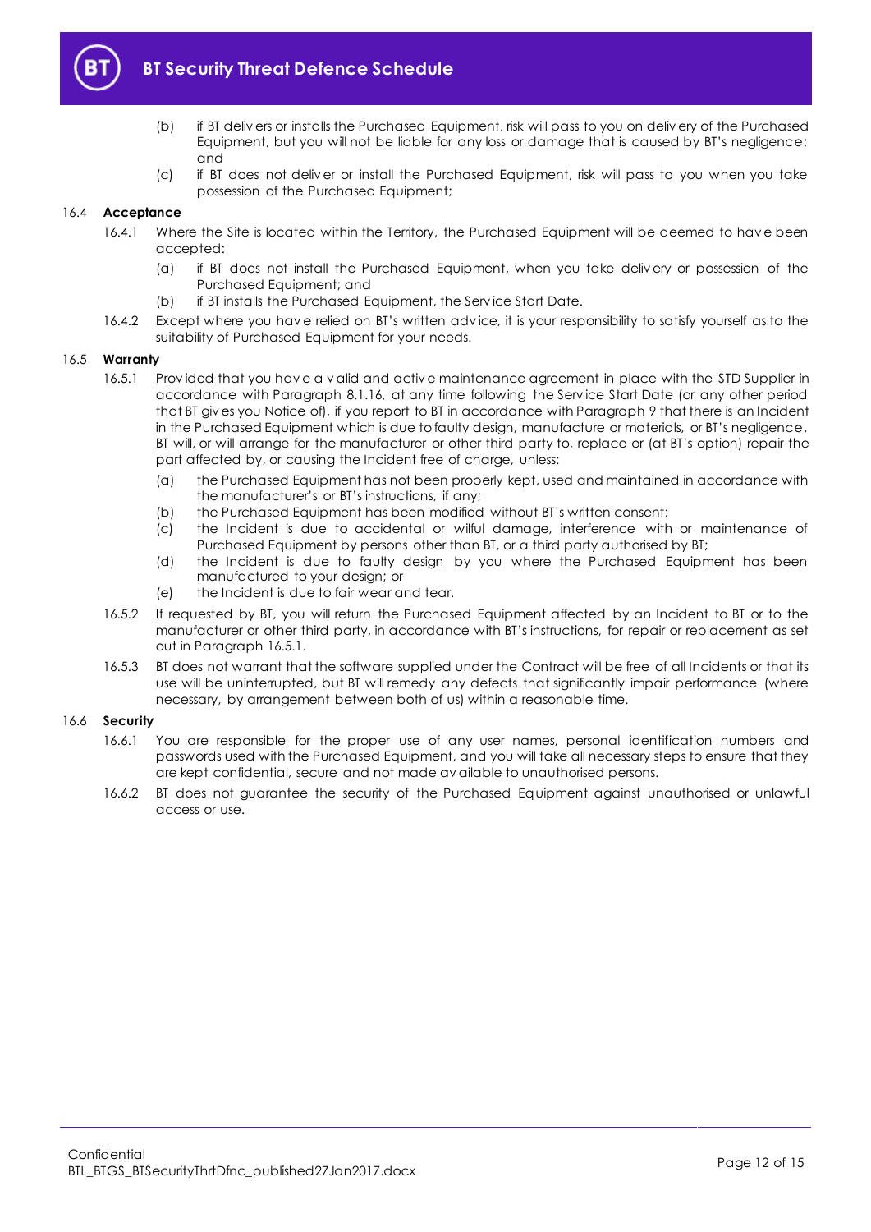

- (b) if BT deliv ers or installs the Purchased Equipment, risk will pass to you on deliv ery of the Purchased Equipment, but you will not be liable for any loss or damage that is caused by BT's negligence; and
- (c) if BT does not deliv er or install the Purchased Equipment, risk will pass to you when you take possession of the Purchased Equipment;

#### 16.4 **Acceptance**

- 16.4.1 Where the Site is located within the Territory, the Purchased Equipment will be deemed to hav e been accepted:
	- (a) if BT does not install the Purchased Equipment, when you take deliv ery or possession of the Purchased Equipment; and
	- (b) if BT installs the Purchased Equipment, the Serv ice Start Date.
- 16.4.2 Except where you hav e relied on BT's written adv ice, it is your responsibility to satisfy yourself as to the suitability of Purchased Equipment for your needs.

#### <span id="page-11-0"></span>16.5 **Warranty**

- 16.5.1 Prov ided that you hav e a v alid and activ e maintenance agreement in place with the STD Supplier in accordance with Paragraph [8.1.16,](#page-6-2) at any time following the Serv ice Start Date (or any other period that BT giv es you Notice of), if you report to BT in accordance with Paragraph [9](#page-8-0) that there is an Incident in the Purchased Equipment which is due to faulty design, manufacture or materials, or BT's negligence, BT will, or will arrange for the manufacturer or other third party to, replace or (at BT's option) repair the part affected by, or causing the Incident free of charge, unless:
	- (a) the Purchased Equipment has not been properly kept, used and maintained in accordance with the manufacturer's or BT's instructions, if any;
	- (b) the Purchased Equipment has been modified without BT's written consent;
	- (c) the Incident is due to accidental or wilful damage, interference with or maintenance of Purchased Equipment by persons other than BT, or a third party authorised by BT;
	- (d) the Incident is due to faulty design by you where the Purchased Equipment has been manufactured to your design; or
	- (e) the Incident is due to fair wear and tear.
- 16.5.2 If requested by BT, you will return the Purchased Equipment affected by an Incident to BT or to the manufacturer or other third party, in accordance with BT's instructions, for repair or replacement as set out in Paragraph [16.5.1.](#page-11-0)
- 16.5.3 BT does not warrant that the software supplied under the Contract will be free of all Incidents or that its use will be uninterrupted, but BT will remedy any defects that significantly impair performance (where necessary, by arrangement between both of us) within a reasonable time.

#### 16.6 **Security**

- 16.6.1 You are responsible for the proper use of any user names, personal identification numbers and passwords used with the Purchased Equipment, and you will take all necessary steps to ensure that they are kept confidential, secure and not made av ailable to unauthorised persons.
- 16.6.2 BT does not guarantee the security of the Purchased Equipment against unauthorised or unlawful access or use.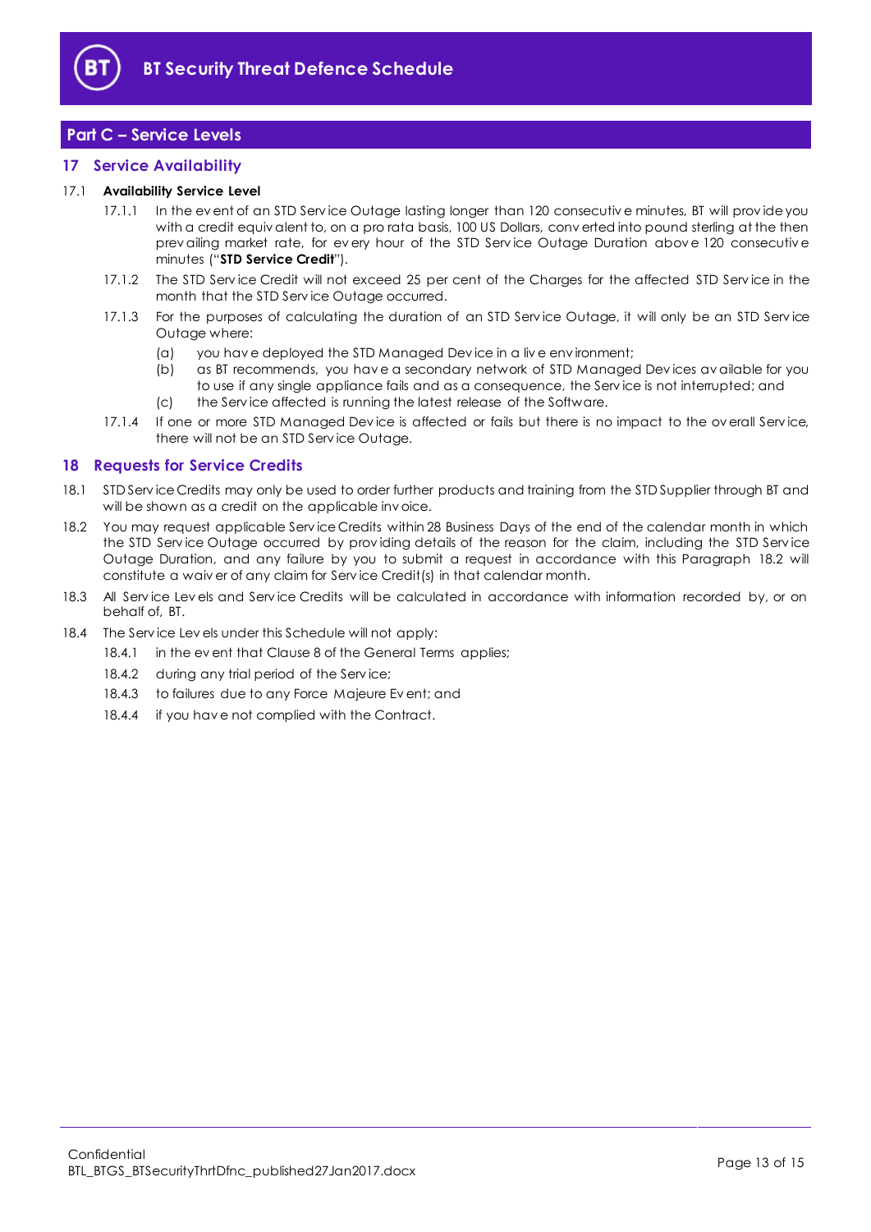

# <span id="page-12-0"></span>**Part C – Service Levels**

# <span id="page-12-1"></span>**17 Service Availability**

#### <span id="page-12-4"></span>17.1 **Availability Service Level**

- 17.1.1 In the ev ent of an STD Service Outage lasting longer than 120 consecutive minutes, BT will provide you with a credit equiv alent to, on a pro rata basis, 100 US Dollars, conv erted into pound sterling at the then prev ailing market rate, for every hour of the STD Service Outage Duration above 120 consecutive minutes ("**STD Service Credit**").
- 17.1.2 The STD Serv ice Credit will not exceed 25 per cent of the Charges for the affected STD Serv ice in the month that the STD Serv ice Outage occurred.
- 17.1.3 For the purposes of calculating the duration of an STD Serv ice Outage, it will only be an STD Serv ice Outage where:
	- (a) you hav e deployed the STD Managed Dev ice in a liv e env ironment;
	- (b) as BT recommends, you hav e a secondary network of STD Managed Dev ices av ailable for you to use if any single appliance fails and as a consequence, the Serv ice is not interrupted; and
	- (c) the Serv ice affected is running the latest release of the Software.
- 17.1.4 If one or more STD Managed Dev ice is affected or fails but there is no impact to the ov erall Serv ice, there will not be an STD Serv ice Outage.

# <span id="page-12-2"></span>**18 Requests for Service Credits**

- 18.1 STD Serv ice Credits may only be used to order further products and training from the STD Supplier through BT and will be shown as a credit on the applicable invoice.
- <span id="page-12-3"></span>18.2 You may request applicable Serv ice Credits within 28 Business Days of the end of the calendar month in which the STD Serv ice Outage occurred by prov iding details of the reason for the claim, including the STD Serv ice Outage Duration, and any failure by you to submit a request in accordance with this Paragraph [18.2](#page-12-3) will constitute a waiv er of any claim for Serv ice Credit(s) in that calendar month.
- 18.3 All Service Levels and Service Credits will be calculated in accordance with information recorded by, or on behalf of, BT.
- 18.4 The Service Levels under this Schedule will not apply:
	- 18.4.1 in the event that Clause 8 of the General Terms applies;
	- 18.4.2 during any trial period of the Service;
	- 18.4.3 to failures due to any Force Majeure Ev ent; and
	- 18.4.4 if you hav e not complied with the Contract.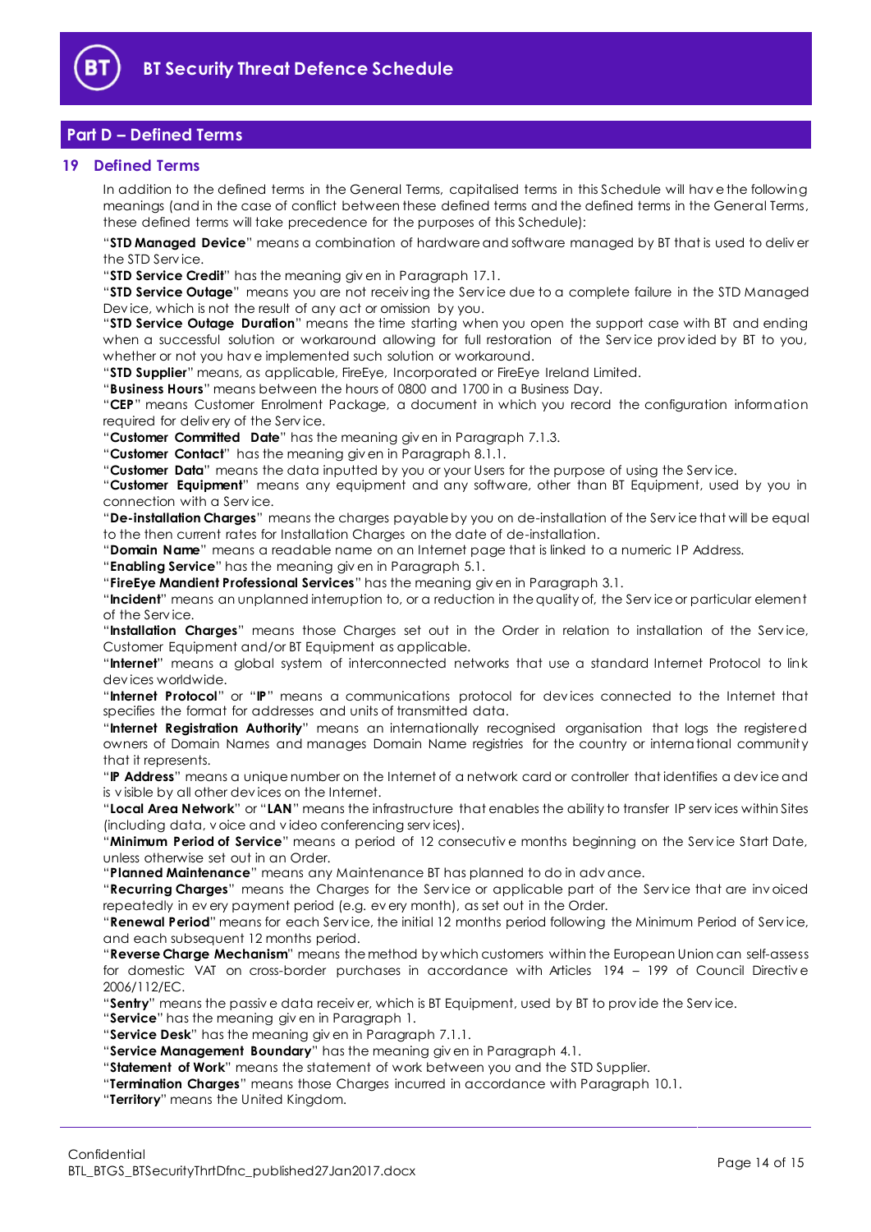

# <span id="page-13-0"></span>**Part D – Defined Terms**

#### <span id="page-13-1"></span>**19 Defined Terms**

In addition to the defined terms in the General Terms, capitalised terms in this Schedule will hav e the following meanings (and in the case of conflict between these defined terms and the defined terms in the General Terms, these defined terms will take precedence for the purposes of this Schedule):

"**STD Managed Device**" means a combination of hardware and software managed by BT that is used to deliv er the STD Serv ice.

"**STD Service Credit**" has the meaning giv en in Paragrap[h 17.1.](#page-12-4)

"**STD Service Outage**" means you are not receiv ing the Serv ice due to a complete failure in the STD Managed Dev ice, which is not the result of any act or omission by you.

"**STD Service Outage Duration**" means the time starting when you open the support case with BT and ending when a successful solution or workaround allowing for full restoration of the Serv ice prov ided by BT to you, whether or not you hav e implemented such solution or workaround.

"**STD Supplier**" means, as applicable, FireEye, Incorporated or FireEye Ireland Limited.

"**Business Hours**" means between the hours of 0800 and 1700 in a Business Day.

"**CEP**" means Customer Enrolment Package, a document in which you record the configuration information required for deliv ery of the Serv ice.

"**Customer Committed Date**" has the meaning giv en in Paragraph [7.1.3.](#page-5-4)

"**Customer Contact**" has the meaning giv en in Paragraph [8.1.1.](#page-6-3)

"**Customer Data**" means the data inputted by you or your Users for the purpose of using the Serv ice.

"**Customer Equipment**" means any equipment and any software, other than BT Equipment, used by you in connection with a Serv ice.

"**De-installation Charges**" means the charges payable by you on de-installation of the Serv ice that will be equal to the then current rates for Installation Charges on the date of de-installation.

"**Domain Name**" means a readable name on an Internet page that is linked to a numeric IP Address.

"**Enabling Service**" has the meaning giv en in Paragrap[h 5.1.](#page-2-3)

"**FireEye Mandient Professional Services**" has the meaning giv en in Paragraph [3.1.](#page-1-5)

"**Incident**" means an unplanned interruption to, or a reduction in the quality of, the Serv ice or particular element of the Serv ice.

"**Installation Charges**" means those Charges set out in the Order in relation to installation of the Serv ice, Customer Equipment and/or BT Equipment as applicable.

"**Internet**" means a global system of interconnected networks that use a standard Internet Protocol to link dev ices worldwide.

"**Internet Protocol**" or "**IP**" means a communications protocol for dev ices connected to the Internet that specifies the format for addresses and units of transmitted data.

"**Internet Registration Authority**" means an internationally recognised organisation that logs the registered owners of Domain Names and manages Domain Name registries for the country or international community that it represents.

"**IP Address**" means a unique number on the Internet of a network card or controller that identifies a dev ice and is v isible by all other dev ices on the Internet.

"**Local Area Network**" or "**LAN**" means the infrastructure that enables the ability to transfer IP serv ices within Sites (including data, v oice and v ideo conferencing serv ices).

"**Minimum Period of Service**" means a period of 12 consecutiv e months beginning on the Serv ice Start Date, unless otherwise set out in an Order.

"**Planned Maintenance**" means any Maintenance BT has planned to do in adv ance.

"**Recurring Charges**" means the Charges for the Serv ice or applicable part of the Serv ice that are inv oiced repeatedly in ev ery payment period (e.g. ev ery month), as set out in the Order.

"**Renewal Period**" means for each Serv ice, the initial 12 months period following the Minimum Period of Serv ice, and each subsequent 12 months period.

"**Reverse Charge Mechanism**" means the method by which customers within the European Union can self-assess for domestic VAT on cross-border purchases in accordance with Articles 194 - 199 of Council Directive 2006/112/EC.

"**Sentry**" means the passiv e data receiv er, which is BT Equipment, used by BT to prov ide the Serv ice.

"**Service**" has the meaning giv en in Paragrap[h 1.](#page-1-2)

"**Service Desk**" has the meaning giv en in Paragraph [7.1.1.](#page-5-5)

"**Service Management Boundary**" has the meaning giv en in Paragraph [4.1.](#page-2-4)

"**Statement of Work**" means the statement of work between you and the STD Supplier.

"**Termination Charges**" means those Charges incurred in accordance with Paragraph [10.1.](#page-8-6)

"**Territory**" means the United Kingdom.